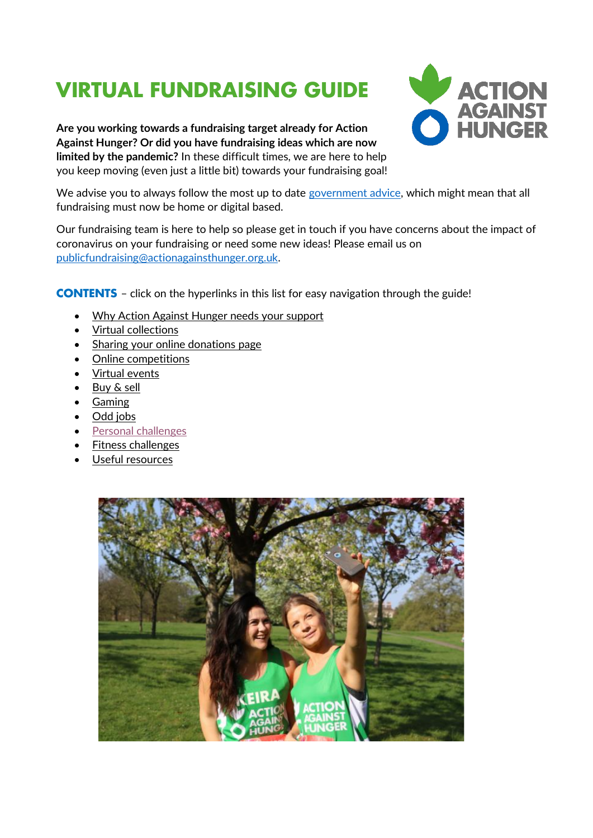# <span id="page-0-0"></span>**VIRTUAL FUNDRAISING GUIDE**





We advise you to always follow the most up to date [government advice,](https://www.gov.uk/coronavirus) which might mean that all fundraising must now be home or digital based.

Our fundraising team is here to help so please get in touch if you have concerns about the impact of coronavirus on your fundraising or need some new ideas! Please email us on [publicfundraising@actionagainsthunger.org.uk.](mailto:publicfundraising@actionagainsthunger.org.uk)

**CONTENTS** – click on the hyperlinks in this list for easy navigation through the guide!

- [Why Action Against Hunger needs](#page-0-0) your support
- [Virtual collections](#page-2-0)
- [Sharing your online donations](#page-2-1) page
- [Online competitions](#page-2-2)
- [Virtual events](#page-2-3)
- [Buy & sell](#page-2-4)
- [Gaming](#page-3-0)
- [Odd jobs](#page-3-1)
- [Personal challenges](#page-3-2)
- [Fitness challenges](#page-3-3)
- [Useful resources](#page-3-4)

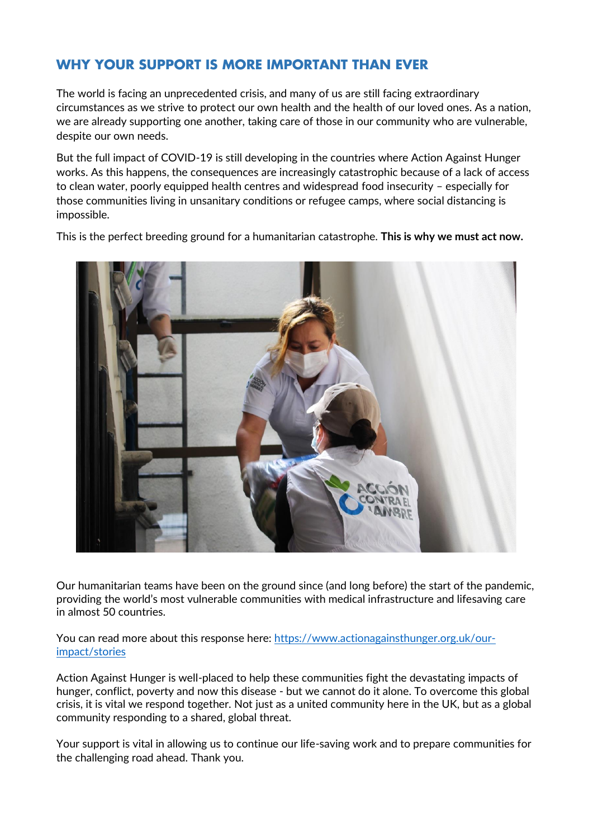# **WHY YOUR SUPPORT IS MORE IMPORTANT THAN EVER**

The world is facing an unprecedented crisis, and many of us are still facing extraordinary circumstances as we strive to protect our own health and the health of our loved ones. As a nation, we are already supporting one another, taking care of those in our community who are vulnerable, despite our own needs.

But the full impact of COVID-19 is still developing in the countries where Action Against Hunger works. As this happens, the consequences are increasingly catastrophic because of a lack of access to clean water, poorly equipped health centres and widespread food insecurity – especially for those communities living in unsanitary conditions or refugee camps, where social distancing is impossible.

This is the perfect breeding ground for a humanitarian catastrophe. **This is why we must act now.** 



Our humanitarian teams have been on the ground since (and long before) the start of the pandemic, providing the world's most vulnerable communities with medical infrastructure and lifesaving care in almost 50 countries.

You can read more about this response here: [https://www.actionagainsthunger.org.uk/our](https://www.actionagainsthunger.org.uk/our-impact/stories)[impact/stories](https://www.actionagainsthunger.org.uk/our-impact/stories)

Action Against Hunger is well-placed to help these communities fight the devastating impacts of hunger, conflict, poverty and now this disease - but we cannot do it alone. To overcome this global crisis, it is vital we respond together. Not just as a united community here in the UK, but as a global community responding to a shared, global threat.

Your support is vital in allowing us to continue our life-saving work and to prepare communities for the challenging road ahead. Thank you.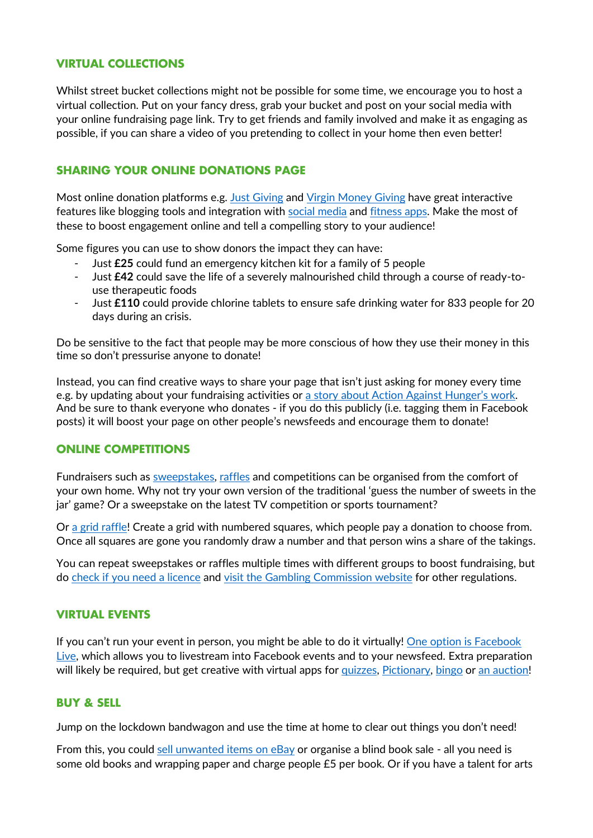# <span id="page-2-0"></span>**VIRTUAL COLLECTIONS**

Whilst street bucket collections might not be possible for some time, we encourage you to host a virtual collection. Put on your fancy dress, grab your bucket and post on your social media with your online fundraising page link. Try to get friends and family involved and make it as engaging as possible, if you can share a video of you pretending to collect in your home then even better!

# <span id="page-2-1"></span>**SHARING YOUR ONLINE DONATIONS PAGE**

Most online donation platforms e.g. [Just Giving](https://www.justgiving.com/actionagainsthungeruk) and [Virgin Money Giving](https://uk.virginmoneygiving.com/charity-web/charity/finalCharityHomepage.action?charityId=1003630) have great interactive features like blogging tools and integration with [social media](https://www.justgiving.com/fundraising/tips/promoting-your-page-on-social-media) and [fitness apps.](https://help.justgiving.com/hc/en-us/sections/360002155498-Fundraising-and-Fitness-Apps) Make the most of these to boost engagement online and tell a compelling story to your audience!

Some figures you can use to show donors the impact they can have:

- Just **£25** could fund an emergency kitchen kit for a family of 5 people
- Just **£42** could save the life of a severely malnourished child through a course of ready-touse therapeutic foods
- Just **£110** could provide chlorine tablets to ensure safe drinking water for 833 people for 20 days during an crisis.

Do be sensitive to the fact that people may be more conscious of how they use their money in this time so don't pressurise anyone to donate!

Instead, you can find creative ways to share your page that isn't just asking for money every time e.g. by updating about your fundraising activities or a story [about Action Against Hunger](https://www.actionagainsthunger.org.uk/our-impact/stories)'s work. And be sure to thank everyone who donates - if you do this publicly (i.e. tagging them in Facebook posts) it will boost your page on other people's newsfeeds and encourage them to donate!

# <span id="page-2-2"></span>**ONLINE COMPETITIONS**

Fundraisers such as [sweepstakes,](https://www.sweepstakegenerator.com/) [raffles](https://raffall.com/) and competitions can be organised from the comfort of your own home. Why not try your own version of the traditional 'guess the number of sweets in the jar' game? Or a sweepstake on the latest TV competition or sports tournament?

Or [a grid raffle!](https://letsgetfundraising.co.uk/boosting-profits/100-square-grid.aspx) Create a grid with numbered squares, which people pay a donation to choose from. Once all squares are gone you randomly draw a number and that person wins a share of the takings.

You can repeat sweepstakes or raffles multiple times with different groups to boost fundraising, but do [check if you need a](https://www.thirdsectorprotect.co.uk/blog/not-for-profit-raffles-do-you-need-a-lottery-licence/) licence and visit [the Gambling Commission website](https://www.gamblingcommission.gov.uk/for-the-public/Fundraising-and-promotions/Advertising-and-promoting.aspx) for other regulations.

#### <span id="page-2-3"></span>**VIRTUAL EVENTS**

If you can't run your event in person, you might be able to do it virtually! [One option is Facebook](https://blog.hubspot.com/marketing/facebook-live-guide)  [Live,](https://blog.hubspot.com/marketing/facebook-live-guide) which allows you to livestream into Facebook events and to your newsfeed. Extra preparation will likely be required, but get creative with virtual apps for [quizzes,](https://kahoot.com/) [Pictionary,](https://skribbl.io/) [bingo](https://www.bingo.games/virtual-bingo-night-guide) or [an auction!](https://www.32auctions.com/)

#### <span id="page-2-4"></span>**BUY & SELL**

Jump on the lockdown bandwagon and use the time at home to clear out things you don't need!

From this, you could [sell unwanted](https://www.ebay.co.uk/) items on eBay or organise a blind book sale - all you need is some old books and wrapping paper and charge people £5 per book. Or if you have a talent for arts